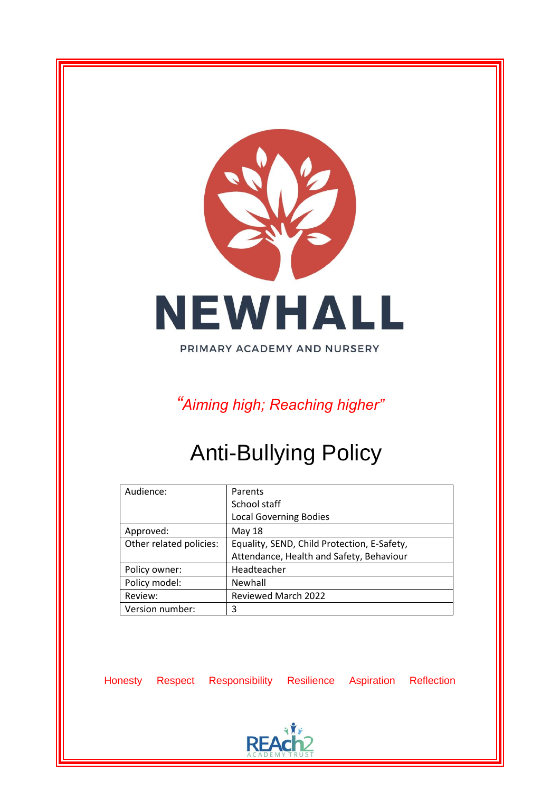

PRIMARY ACADEMY AND NURSERY

*"Aiming high; Reaching higher"*

# Anti-Bullying Policy

| Audience:               | Parents                                     |
|-------------------------|---------------------------------------------|
|                         | School staff                                |
|                         | <b>Local Governing Bodies</b>               |
| Approved:               | May 18                                      |
| Other related policies: | Equality, SEND, Child Protection, E-Safety, |
|                         | Attendance, Health and Safety, Behaviour    |
| Policy owner:           | Headteacher                                 |
| Policy model:           | Newhall                                     |
| Review:                 | Reviewed March 2022                         |
| Version number:         | 3                                           |

Honesty Respect Responsibility Resilience Aspiration Reflection

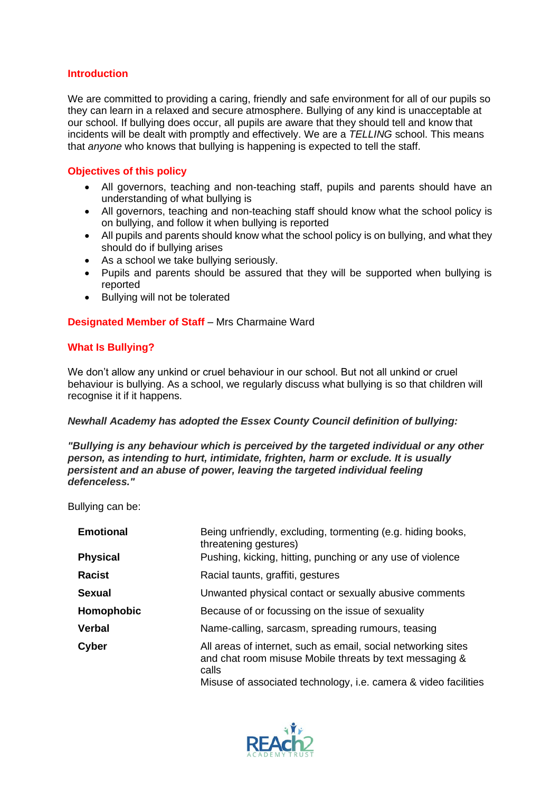## **Introduction**

We are committed to providing a caring, friendly and safe environment for all of our pupils so they can learn in a relaxed and secure atmosphere. Bullying of any kind is unacceptable at our school. If bullying does occur, all pupils are aware that they should tell and know that incidents will be dealt with promptly and effectively. We are a *TELLING* school. This means that *anyone* who knows that bullying is happening is expected to tell the staff.

## **Objectives of this policy**

- All governors, teaching and non-teaching staff, pupils and parents should have an understanding of what bullying is
- All governors, teaching and non-teaching staff should know what the school policy is on bullying, and follow it when bullying is reported
- All pupils and parents should know what the school policy is on bullying, and what they should do if bullying arises
- As a school we take bullying seriously.
- Pupils and parents should be assured that they will be supported when bullying is reported
- Bullying will not be tolerated

# **Designated Member of Staff** - Mrs Charmaine Ward

# **What Is Bullying?**

We don't allow any unkind or cruel behaviour in our school. But not all unkind or cruel behaviour is bullying. As a school, we regularly discuss what bullying is so that children will recognise it if it happens.

## *Newhall Academy has adopted the Essex County Council definition of bullying:*

*"Bullying is any behaviour which is perceived by the targeted individual or any other person, as intending to hurt, intimidate, frighten, harm or exclude. It is usually persistent and an abuse of power, leaving the targeted individual feeling defenceless."* 

Bullying can be:

| <b>Emotional</b> | Being unfriendly, excluding, tormenting (e.g. hiding books,<br>threatening gestures)                                                                                                                 |
|------------------|------------------------------------------------------------------------------------------------------------------------------------------------------------------------------------------------------|
| <b>Physical</b>  | Pushing, kicking, hitting, punching or any use of violence                                                                                                                                           |
| Racist           | Racial taunts, graffiti, gestures                                                                                                                                                                    |
| <b>Sexual</b>    | Unwanted physical contact or sexually abusive comments                                                                                                                                               |
| Homophobic       | Because of or focussing on the issue of sexuality                                                                                                                                                    |
| <b>Verbal</b>    | Name-calling, sarcasm, spreading rumours, teasing                                                                                                                                                    |
| <b>Cyber</b>     | All areas of internet, such as email, social networking sites<br>and chat room misuse Mobile threats by text messaging &<br>calls<br>Misuse of associated technology, i.e. camera & video facilities |

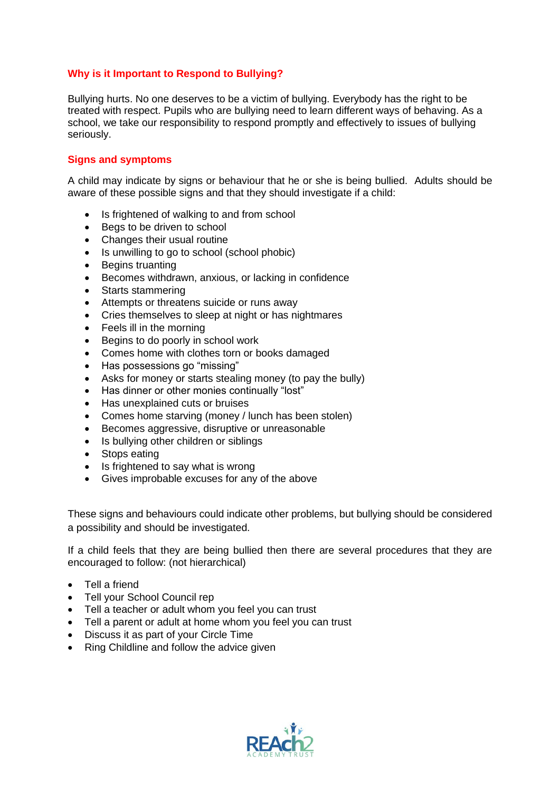# **Why is it Important to Respond to Bullying?**

Bullying hurts. No one deserves to be a victim of bullying. Everybody has the right to be treated with respect. Pupils who are bullying need to learn different ways of behaving. As a school, we take our responsibility to respond promptly and effectively to issues of bullying seriously.

## **Signs and symptoms**

A child may indicate by signs or behaviour that he or she is being bullied. Adults should be aware of these possible signs and that they should investigate if a child:

- Is frightened of walking to and from school
- Begs to be driven to school
- Changes their usual routine
- Is unwilling to go to school (school phobic)
- Begins truanting
- Becomes withdrawn, anxious, or lacking in confidence
- Starts stammering
- Attempts or threatens suicide or runs away
- Cries themselves to sleep at night or has nightmares
- Feels ill in the morning
- Begins to do poorly in school work
- Comes home with clothes torn or books damaged
- Has possessions go "missing"
- Asks for money or starts stealing money (to pay the bully)
- Has dinner or other monies continually "lost"
- Has unexplained cuts or bruises
- Comes home starving (money / lunch has been stolen)
- Becomes aggressive, disruptive or unreasonable
- Is bullying other children or siblings
- Stops eating
- Is frightened to say what is wrong
- Gives improbable excuses for any of the above

These signs and behaviours could indicate other problems, but bullying should be considered a possibility and should be investigated.

If a child feels that they are being bullied then there are several procedures that they are encouraged to follow: (not hierarchical)

- Tell a friend
- Tell your School Council rep
- Tell a teacher or adult whom you feel you can trust
- Tell a parent or adult at home whom you feel you can trust
- Discuss it as part of your Circle Time
- Ring Childline and follow the advice given

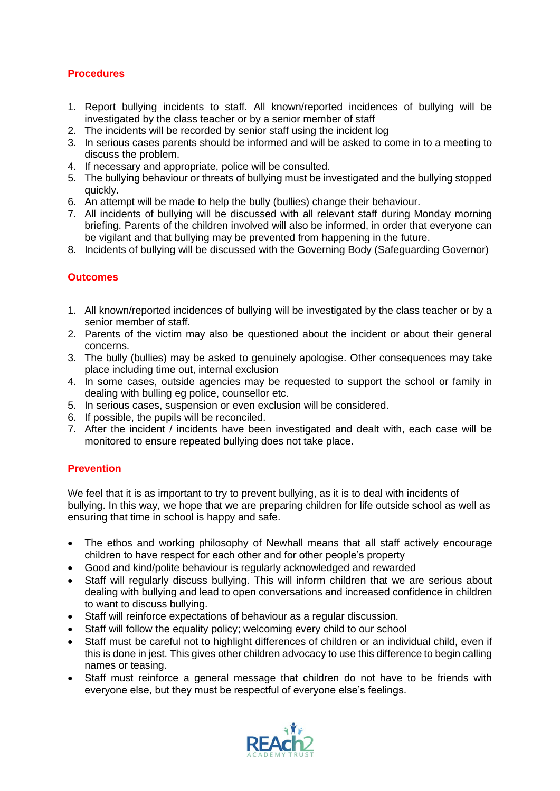# **Procedures**

- 1. Report bullying incidents to staff. All known/reported incidences of bullying will be investigated by the class teacher or by a senior member of staff
- 2. The incidents will be recorded by senior staff using the incident log
- 3. In serious cases parents should be informed and will be asked to come in to a meeting to discuss the problem.
- 4. If necessary and appropriate, police will be consulted.
- 5. The bullying behaviour or threats of bullying must be investigated and the bullying stopped quickly.
- 6. An attempt will be made to help the bully (bullies) change their behaviour.
- 7. All incidents of bullying will be discussed with all relevant staff during Monday morning briefing. Parents of the children involved will also be informed, in order that everyone can be vigilant and that bullying may be prevented from happening in the future.
- 8. Incidents of bullying will be discussed with the Governing Body (Safeguarding Governor)

# **Outcomes**

- 1. All known/reported incidences of bullying will be investigated by the class teacher or by a senior member of staff.
- 2. Parents of the victim may also be questioned about the incident or about their general concerns.
- 3. The bully (bullies) may be asked to genuinely apologise. Other consequences may take place including time out, internal exclusion
- 4. In some cases, outside agencies may be requested to support the school or family in dealing with bulling eg police, counsellor etc.
- 5. In serious cases, suspension or even exclusion will be considered.
- 6. If possible, the pupils will be reconciled.
- 7. After the incident / incidents have been investigated and dealt with, each case will be monitored to ensure repeated bullying does not take place.

# **Prevention**

We feel that it is as important to try to prevent bullying, as it is to deal with incidents of bullying. In this way, we hope that we are preparing children for life outside school as well as ensuring that time in school is happy and safe.

- The ethos and working philosophy of Newhall means that all staff actively encourage children to have respect for each other and for other people's property
- Good and kind/polite behaviour is regularly acknowledged and rewarded
- Staff will regularly discuss bullying. This will inform children that we are serious about dealing with bullying and lead to open conversations and increased confidence in children to want to discuss bullying.
- Staff will reinforce expectations of behaviour as a regular discussion.
- Staff will follow the equality policy; welcoming every child to our school
- Staff must be careful not to highlight differences of children or an individual child, even if this is done in jest. This gives other children advocacy to use this difference to begin calling names or teasing.
- Staff must reinforce a general message that children do not have to be friends with everyone else, but they must be respectful of everyone else's feelings.

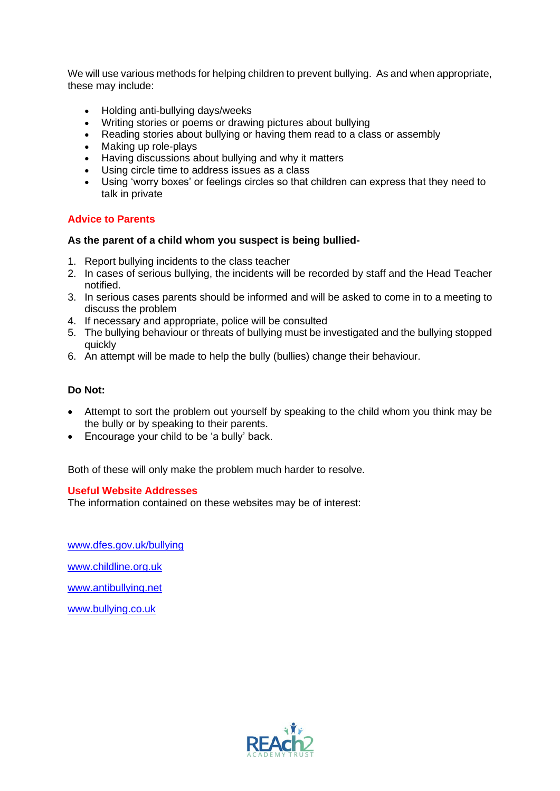We will use various methods for helping children to prevent bullying. As and when appropriate, these may include:

- Holding anti-bullying days/weeks
- Writing stories or poems or drawing pictures about bullying
- Reading stories about bullying or having them read to a class or assembly
- Making up role-plays
- Having discussions about bullying and why it matters
- Using circle time to address issues as a class
- Using 'worry boxes' or feelings circles so that children can express that they need to talk in private

## **Advice to Parents**

#### **As the parent of a child whom you suspect is being bullied-**

- 1. Report bullying incidents to the class teacher
- 2. In cases of serious bullying, the incidents will be recorded by staff and the Head Teacher notified.
- 3. In serious cases parents should be informed and will be asked to come in to a meeting to discuss the problem
- 4. If necessary and appropriate, police will be consulted
- 5. The bullying behaviour or threats of bullying must be investigated and the bullying stopped quickly
- 6. An attempt will be made to help the bully (bullies) change their behaviour.

## **Do Not:**

- Attempt to sort the problem out yourself by speaking to the child whom you think may be the bully or by speaking to their parents.
- Encourage your child to be 'a bully' back.

Both of these will only make the problem much harder to resolve.

#### **Useful Website Addresses**

The information contained on these websites may be of interest:

[www.dfes.gov.uk/bullying](http://www.dfes.gov.uk/bullying) [www.childline.org.uk](http://www.childline.org.uk/) [www.antibullying.net](http://www.antibullying.net/) [www.bullying.co.uk](http://www.bullying.co.uk/)

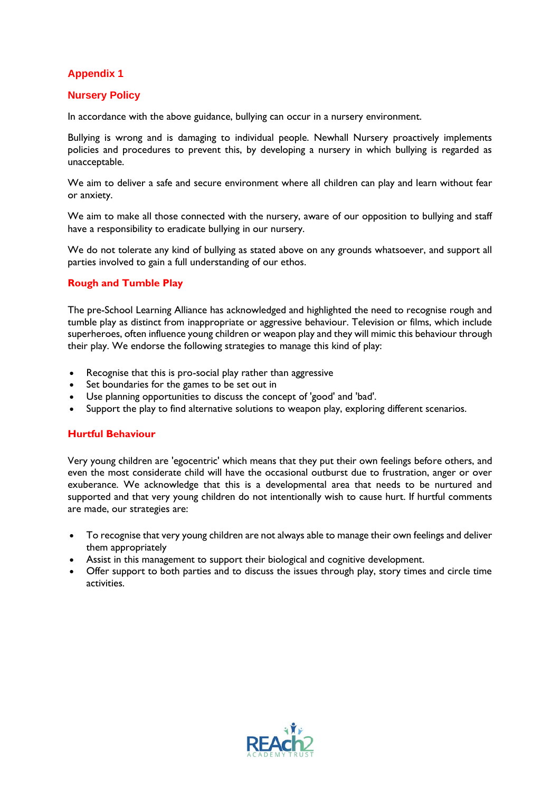# **Appendix 1**

# **Nursery Policy**

In accordance with the above guidance, bullying can occur in a nursery environment.

Bullying is wrong and is damaging to individual people. Newhall Nursery proactively implements policies and procedures to prevent this, by developing a nursery in which bullying is regarded as unacceptable.

We aim to deliver a safe and secure environment where all children can play and learn without fear or anxiety.

We aim to make all those connected with the nursery, aware of our opposition to bullying and staff have a responsibility to eradicate bullying in our nursery.

We do not tolerate any kind of bullying as stated above on any grounds whatsoever, and support all parties involved to gain a full understanding of our ethos.

## **Rough and Tumble Play**

The pre-School Learning Alliance has acknowledged and highlighted the need to recognise rough and tumble play as distinct from inappropriate or aggressive behaviour. Television or films, which include superheroes, often influence young children or weapon play and they will mimic this behaviour through their play. We endorse the following strategies to manage this kind of play:

- Recognise that this is pro-social play rather than aggressive
- Set boundaries for the games to be set out in
- Use planning opportunities to discuss the concept of 'good' and 'bad'.
- Support the play to find alternative solutions to weapon play, exploring different scenarios.

#### **Hurtful Behaviour**

Very young children are 'egocentric' which means that they put their own feelings before others, and even the most considerate child will have the occasional outburst due to frustration, anger or over exuberance. We acknowledge that this is a developmental area that needs to be nurtured and supported and that very young children do not intentionally wish to cause hurt. If hurtful comments are made, our strategies are:

- To recognise that very young children are not always able to manage their own feelings and deliver them appropriately
- Assist in this management to support their biological and cognitive development.
- Offer support to both parties and to discuss the issues through play, story times and circle time activities.